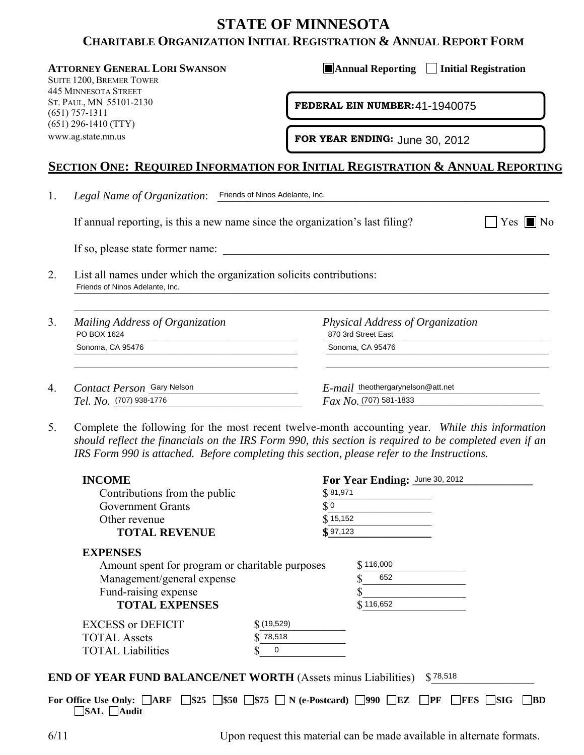# **STATE OF MINNESOTA CHARITABLE ORGANIZATION INITIAL REGISTRATION & ANNUAL REPORT FORM**

SUITE 1200, BREMER TOWER 445 MINNESOTA STREET ST. PAUL, MN 55101-2130 (651) 757-1311 (651) 296-1410 (TTY) www.ag.state.mn.us

**ATTORNEY GENERAL LORI SWANSON AND AND ANNUAL Reporting Initial Registration** 

**FEDERAL EIN NUMBER: 41-1940075** 

# **SECTION ONE: REQUIRED INFORMATION FOR INITIAL REGISTRATION & ANNUAL REPORTING**

|  | - |  |  |
|--|---|--|--|
|--|---|--|--|

| Mailing Address of Organization<br>PO BOX 1624 | Physical Address of Organization<br>870 3rd Street East |
|------------------------------------------------|---------------------------------------------------------|
| Sonoma, CA 95476                               | Sonoma, CA 95476                                        |
| Contact Person Gary Nelson                     | $E$ - $mail$ theothergarynelson@att.net                 |
| $Tel. No.$ (707) 938-1776                      | $Fax No.$ (707) 581-1833                                |

| ST. PAUL, MIN 55101-2150<br>$(651)$ 757-1311 |                                                                                                                                                                                                                                                                                                         |              | FEDERAL EIN NUMBER: 41-1940075 |                                                                     |  |
|----------------------------------------------|---------------------------------------------------------------------------------------------------------------------------------------------------------------------------------------------------------------------------------------------------------------------------------------------------------|--------------|--------------------------------|---------------------------------------------------------------------|--|
|                                              | $(651)$ 296-1410 (TTY)<br>www.ag.state.mn.us                                                                                                                                                                                                                                                            |              | FOR YEAR ENDING: June 30, 2012 |                                                                     |  |
|                                              | <u>Section One: Required Information for Initial Registration &amp; Annual Report</u>                                                                                                                                                                                                                   |              |                                |                                                                     |  |
| 1.                                           | Legal Name of Organization: Friends of Ninos Adelante, Inc.                                                                                                                                                                                                                                             |              |                                |                                                                     |  |
|                                              | If annual reporting, is this a new name since the organization's last filing?<br>$Yes \blacksquare$                                                                                                                                                                                                     |              |                                |                                                                     |  |
|                                              | If so, please state former name:                                                                                                                                                                                                                                                                        |              |                                |                                                                     |  |
| 2.                                           | List all names under which the organization solicits contributions:<br>Friends of Ninos Adelante, Inc.                                                                                                                                                                                                  |              |                                |                                                                     |  |
| 3.                                           | Mailing Address of Organization<br>PO BOX 1624                                                                                                                                                                                                                                                          |              |                                | Physical Address of Organization<br>870 3rd Street East             |  |
|                                              | Sonoma, CA 95476                                                                                                                                                                                                                                                                                        |              | Sonoma, CA 95476               |                                                                     |  |
| 4.                                           | Contact Person Gary Nelson<br>Tel. No. (707) 938-1776                                                                                                                                                                                                                                                   |              |                                | $E$ - $mail$ theothergarynelson@att.net<br>$Fax No.$ (707) 581-1833 |  |
|                                              |                                                                                                                                                                                                                                                                                                         |              |                                |                                                                     |  |
| 5.                                           | Complete the following for the most recent twelve-month accounting year. While this information<br>should reflect the financials on the IRS Form 990, this section is required to be completed even if a<br>IRS Form 990 is attached. Before completing this section, please refer to the Instructions. |              |                                |                                                                     |  |
|                                              | <b>INCOME</b>                                                                                                                                                                                                                                                                                           |              |                                | For Year Ending: June 30, 2012                                      |  |
|                                              | Contributions from the public                                                                                                                                                                                                                                                                           |              | \$81,971                       |                                                                     |  |
|                                              | <b>Government Grants</b>                                                                                                                                                                                                                                                                                |              | $\S$ 0                         |                                                                     |  |
|                                              | Other revenue                                                                                                                                                                                                                                                                                           |              | \$15,152                       |                                                                     |  |
|                                              | <b>TOTAL REVENUE</b>                                                                                                                                                                                                                                                                                    |              | \$97,123                       |                                                                     |  |
|                                              | <b>EXPENSES</b>                                                                                                                                                                                                                                                                                         |              |                                |                                                                     |  |
|                                              | Amount spent for program or charitable purposes                                                                                                                                                                                                                                                         |              |                                | \$116,000<br>652                                                    |  |
|                                              | Management/general expense                                                                                                                                                                                                                                                                              |              |                                |                                                                     |  |
|                                              | Fund-raising expense<br><b>TOTAL EXPENSES</b>                                                                                                                                                                                                                                                           |              |                                | \$116,652                                                           |  |
|                                              |                                                                                                                                                                                                                                                                                                         | $$$ (19,529) |                                |                                                                     |  |
|                                              | <b>EXCESS or DEFICIT</b><br><b>TOTAL Assets</b>                                                                                                                                                                                                                                                         | 78,518       |                                |                                                                     |  |

For Office Use Only:  $\Box$ ARF  $\Box$ \$25  $\Box$ \$50  $\Box$ \$75  $\Box$  N (e-Postcard)  $\Box$ 990  $\Box$ EZ  $\Box$ PF  $\Box$ FES  $\Box$ SIG  $\Box$ BD **SAL Audit** 

6/11 Upon request this material can be made available in alternate formats.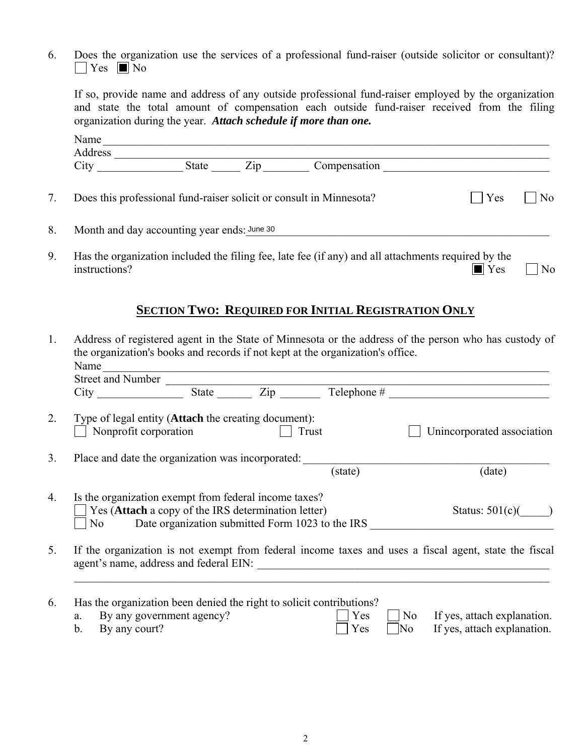6. Does the organization use the services of a professional fund-raiser (outside solicitor or consultant)?  $\Box$  Yes  $\Box$  No

 If so, provide name and address of any outside professional fund-raiser employed by the organization and state the total amount of compensation each outside fund-raiser received from the filing organization during the year. *Attach schedule if more than one.*

|    | Name                                                                                                                 |              |                |
|----|----------------------------------------------------------------------------------------------------------------------|--------------|----------------|
|    | Address<br>City<br>$\mathbf{Zip}$<br>State                                                                           | Compensation |                |
|    |                                                                                                                      |              |                |
|    | Does this professional fund-raiser solicit or consult in Minnesota?                                                  | Yes          | N <sub>0</sub> |
| 8. | Month and day accounting year ends: June 30                                                                          |              |                |
| 9. | Has the organization included the filing fee, late fee (if any) and all attachments required by the<br>instructions? | Yes          | No             |

# **SECTION TWO: REQUIRED FOR INITIAL REGISTRATION ONLY**

| 1.             | Address of registered agent in the State of Minnesota or the address of the person who has custody of<br>the organization's books and records if not kept at the organization's office. |                                                                                                                       |       |            |  |                                                                                                       |  |
|----------------|-----------------------------------------------------------------------------------------------------------------------------------------------------------------------------------------|-----------------------------------------------------------------------------------------------------------------------|-------|------------|--|-------------------------------------------------------------------------------------------------------|--|
|                | Name                                                                                                                                                                                    | <u> 1989 - Johann Stein, mars an deus Amerikaansk kommunister (</u>                                                   |       |            |  |                                                                                                       |  |
|                |                                                                                                                                                                                         |                                                                                                                       |       |            |  |                                                                                                       |  |
|                |                                                                                                                                                                                         |                                                                                                                       |       |            |  |                                                                                                       |  |
| 2.             |                                                                                                                                                                                         | Type of legal entity ( <b>Attach</b> the creating document):<br>Nonprofit corporation                                 | Trust |            |  | Unincorporated association                                                                            |  |
| 3 <sub>1</sub> |                                                                                                                                                                                         | Place and date the organization was incorporated:                                                                     |       |            |  |                                                                                                       |  |
|                |                                                                                                                                                                                         |                                                                                                                       |       | (state)    |  | (date)                                                                                                |  |
| 4.             |                                                                                                                                                                                         | Is the organization exempt from federal income taxes?<br>Yes (Attach a copy of the IRS determination letter)          |       |            |  | Status: $501(c)($                                                                                     |  |
|                | N <sub>0</sub>                                                                                                                                                                          |                                                                                                                       |       |            |  |                                                                                                       |  |
| 5.             |                                                                                                                                                                                         |                                                                                                                       |       |            |  | If the organization is not exempt from federal income taxes and uses a fiscal agent, state the fiscal |  |
| 6.             | b.                                                                                                                                                                                      | Has the organization been denied the right to solicit contributions?<br>a. By any government agency?<br>By any court? |       | Yes<br>Yes |  | $\blacksquare$ No If yes, attach explanation.<br>$\Box$ No If yes, attach explanation.                |  |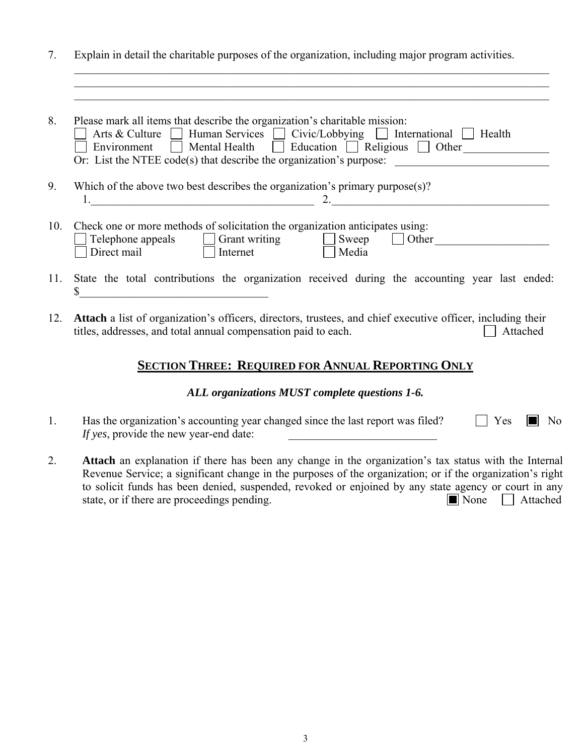7. Explain in detail the charitable purposes of the organization, including major program activities.

 $\mathcal{L}_\mathcal{L} = \{ \mathcal{L}_\mathcal{L} = \{ \mathcal{L}_\mathcal{L} = \{ \mathcal{L}_\mathcal{L} = \{ \mathcal{L}_\mathcal{L} = \{ \mathcal{L}_\mathcal{L} = \{ \mathcal{L}_\mathcal{L} = \{ \mathcal{L}_\mathcal{L} = \{ \mathcal{L}_\mathcal{L} = \{ \mathcal{L}_\mathcal{L} = \{ \mathcal{L}_\mathcal{L} = \{ \mathcal{L}_\mathcal{L} = \{ \mathcal{L}_\mathcal{L} = \{ \mathcal{L}_\mathcal{L} = \{ \mathcal{L}_\mathcal{$  $\mathcal{L}_\text{max}$  , and the contribution of the contribution of the contribution of the contribution of the contribution of the contribution of the contribution of the contribution of the contribution of the contribution of t

| 8.  | Please mark all items that describe the organization's charitable mission:<br>Arts & Culture   Human Services   Civic/Lobbying   International  <br>Health                |
|-----|---------------------------------------------------------------------------------------------------------------------------------------------------------------------------|
|     | Mental Health $\Box$ Education $\Box$ Religious $\Box$ Other<br>Environment<br>Or: List the NTEE code(s) that describe the organization's purpose:                        |
| 9.  | Which of the above two best describes the organization's primary purpose $(s)$ ?                                                                                          |
| 10. | Check one or more methods of solicitation the organization anticipates using:<br>Sweep<br>Telephone appeals<br>Other<br>Grant writing<br>Direct mail<br>Media<br>Internet |
|     | 11. State the total contributions the organization received during the accounting year last ended:                                                                        |

12. **Attach** a list of organization's officers, directors, trustees, and chief executive officer, including their titles, addresses, and total annual compensation paid to each.  $\Box$  Attached

## **SECTION THREE: REQUIRED FOR ANNUAL REPORTING ONLY**

#### *ALL organizations MUST complete questions 1-6.*

- 1. Has the organization's accounting year changed since the last report was filed?  $\Box$  Yes  $\Box$  No *If yes*, provide the new year-end date:
- 2. **Attach** an explanation if there has been any change in the organization's tax status with the Internal Revenue Service; a significant change in the purposes of the organization; or if the organization's right to solicit funds has been denied, suspended, revoked or enjoined by any state agency or court in any state, or if there are proceedings pending.  $\Box$  None  $\Box$  Attached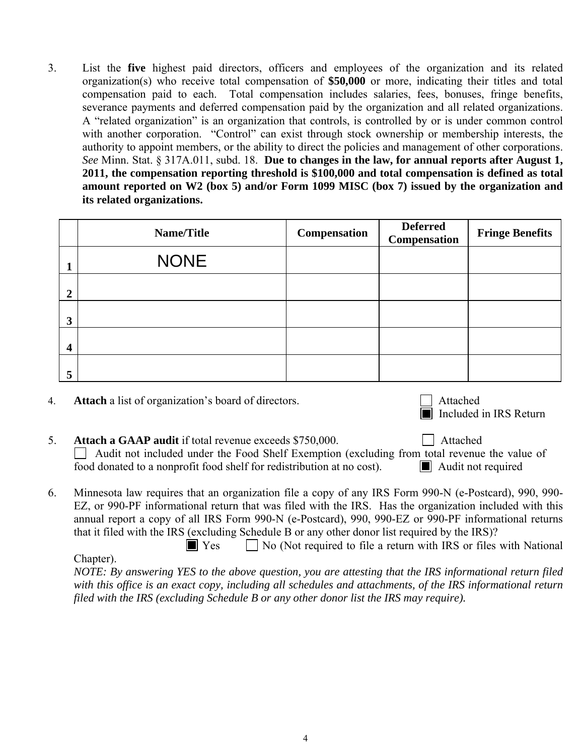3. List the **five** highest paid directors, officers and employees of the organization and its related organization(s) who receive total compensation of **\$50,000** or more, indicating their titles and total compensation paid to each. Total compensation includes salaries, fees, bonuses, fringe benefits, severance payments and deferred compensation paid by the organization and all related organizations. A "related organization" is an organization that controls, is controlled by or is under common control with another corporation. "Control" can exist through stock ownership or membership interests, the authority to appoint members, or the ability to direct the policies and management of other corporations. *See* Minn. Stat. § 317A.011, subd. 18. **Due to changes in the law, for annual reports after August 1, 2011, the compensation reporting threshold is \$100,000 and total compensation is defined as total amount reported on W2 (box 5) and/or Form 1099 MISC (box 7) issued by the organization and its related organizations.** 

|                | Name/Title  | Compensation | Deferred<br>Compensation | <b>Fringe Benefits</b> |
|----------------|-------------|--------------|--------------------------|------------------------|
|                | <b>NONE</b> |              |                          |                        |
| $\overline{2}$ |             |              |                          |                        |
| $\mathbf{3}$   |             |              |                          |                        |
| $\overline{4}$ |             |              |                          |                        |
| 5              |             |              |                          |                        |

| <b>Attach</b> a list of organization's board of directors. | $\Box$ Attached        |
|------------------------------------------------------------|------------------------|
|                                                            | Included in IRS Return |

- 5. **Attach a GAAP audit** if total revenue exceeds \$750,000.  $\Box$  Audit not included under the Food Shelf Exemption (excluding from total revenue the value of food donated to a nonprofit food shelf for redistribution at no cost). Audit not required
- 6. Minnesota law requires that an organization file a copy of any IRS Form 990-N (e-Postcard), 990, 990- EZ, or 990-PF informational return that was filed with the IRS. Has the organization included with this annual report a copy of all IRS Form 990-N (e-Postcard), 990, 990-EZ or 990-PF informational returns that it filed with the IRS (excluding Schedule B or any other donor list required by the IRS)?

 $\Box$  Yes  $\Box$  No (Not required to file a return with IRS or files with National Chapter).  *NOTE: By answering YES to the above question, you are attesting that the IRS informational return filed with this office is an exact copy, including all schedules and attachments, of the IRS informational return filed with the IRS (excluding Schedule B or any other donor list the IRS may require).*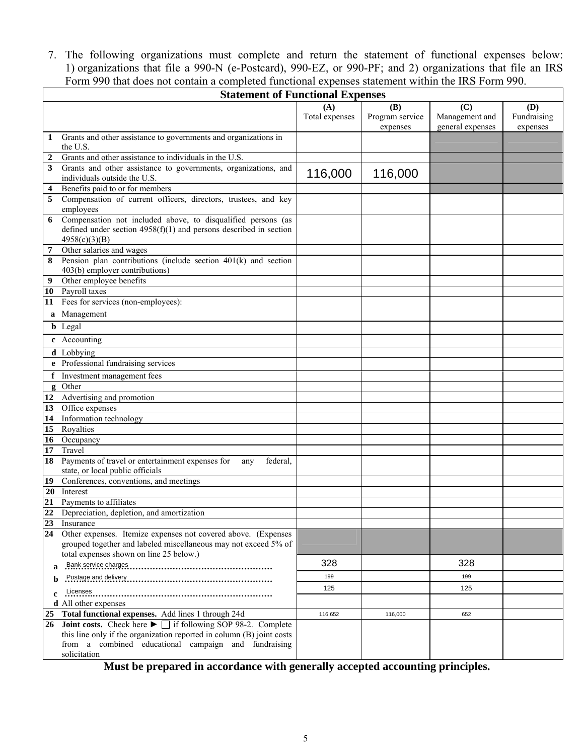7. The following organizations must complete and return the statement of functional expenses below: 1) organizations that file a 990-N (e-Postcard), 990-EZ, or 990-PF; and 2) organizations that file an IRS Form 990 that does not contain a completed functional expenses statement within the IRS Form 990.

|              | <b>Statement of Functional Expenses</b>                                                                                                           |                |                             |                                    |                         |
|--------------|---------------------------------------------------------------------------------------------------------------------------------------------------|----------------|-----------------------------|------------------------------------|-------------------------|
|              |                                                                                                                                                   | (A)            | (B)                         | (C)                                | (D)                     |
|              |                                                                                                                                                   | Total expenses | Program service<br>expenses | Management and<br>general expenses | Fundraising<br>expenses |
| 1            | Grants and other assistance to governments and organizations in                                                                                   |                |                             |                                    |                         |
|              | the U.S.                                                                                                                                          |                |                             |                                    |                         |
|              | Grants and other assistance to individuals in the U.S.                                                                                            |                |                             |                                    |                         |
| 3            | Grants and other assistance to governments, organizations, and                                                                                    | 116,000        | 116,000                     |                                    |                         |
|              | individuals outside the U.S.                                                                                                                      |                |                             |                                    |                         |
| 4            | Benefits paid to or for members<br>Compensation of current officers, directors, trustees, and key                                                 |                |                             |                                    |                         |
| 5            | employees                                                                                                                                         |                |                             |                                    |                         |
| 6            | Compensation not included above, to disqualified persons (as                                                                                      |                |                             |                                    |                         |
|              | defined under section $4958(f)(1)$ and persons described in section                                                                               |                |                             |                                    |                         |
|              | 4958(c)(3)(B)                                                                                                                                     |                |                             |                                    |                         |
| 7            | Other salaries and wages                                                                                                                          |                |                             |                                    |                         |
| 8            | Pension plan contributions (include section $401(k)$ and section<br>403(b) employer contributions)                                                |                |                             |                                    |                         |
| 9            | Other employee benefits                                                                                                                           |                |                             |                                    |                         |
|              | 10 Payroll taxes                                                                                                                                  |                |                             |                                    |                         |
| 11           | Fees for services (non-employees):                                                                                                                |                |                             |                                    |                         |
|              | a Management                                                                                                                                      |                |                             |                                    |                         |
|              | <b>b</b> Legal                                                                                                                                    |                |                             |                                    |                         |
|              | c Accounting                                                                                                                                      |                |                             |                                    |                         |
|              | d Lobbying                                                                                                                                        |                |                             |                                    |                         |
|              | e Professional fundraising services                                                                                                               |                |                             |                                    |                         |
| f            | Investment management fees                                                                                                                        |                |                             |                                    |                         |
| $\mathbf{g}$ | Other                                                                                                                                             |                |                             |                                    |                         |
| 12           | Advertising and promotion                                                                                                                         |                |                             |                                    |                         |
| 13<br>14     | Office expenses<br>Information technology                                                                                                         |                |                             |                                    |                         |
| 15           | Royalties                                                                                                                                         |                |                             |                                    |                         |
| 16           | Occupancy                                                                                                                                         |                |                             |                                    |                         |
| 17           | Travel                                                                                                                                            |                |                             |                                    |                         |
| 18           | Payments of travel or entertainment expenses for<br>federal,<br>any                                                                               |                |                             |                                    |                         |
|              | state, or local public officials                                                                                                                  |                |                             |                                    |                         |
| 19           | Conferences, conventions, and meetings                                                                                                            |                |                             |                                    |                         |
| 20           | Interest                                                                                                                                          |                |                             |                                    |                         |
| 21<br>22     | Payments to affiliates                                                                                                                            |                |                             |                                    |                         |
| 23           | Depreciation, depletion, and amortization                                                                                                         |                |                             |                                    |                         |
| 24           | Insurance<br>Other expenses. Itemize expenses not covered above. (Expenses                                                                        |                |                             |                                    |                         |
|              | grouped together and labeled miscellaneous may not exceed 5% of                                                                                   |                |                             |                                    |                         |
|              | total expenses shown on line 25 below.)<br>Bank service charges                                                                                   | 328            |                             | 328                                |                         |
| a            |                                                                                                                                                   | 199            |                             | 199                                |                         |
|              |                                                                                                                                                   | 125            |                             | 125                                |                         |
| c            | Licenses                                                                                                                                          |                |                             |                                    |                         |
|              | <b>d</b> All other expenses                                                                                                                       |                |                             |                                    |                         |
| 25<br>26     | Total functional expenses. Add lines 1 through 24d<br><b>Joint costs.</b> Check here $\blacktriangleright$ $\Box$ if following SOP 98-2. Complete | 116,652        | 116,000                     | 652                                |                         |
|              | this line only if the organization reported in column (B) joint costs                                                                             |                |                             |                                    |                         |
|              | from a combined educational campaign and fundraising                                                                                              |                |                             |                                    |                         |
|              | solicitation                                                                                                                                      |                |                             |                                    |                         |

**Must be prepared in accordance with generally accepted accounting principles.**